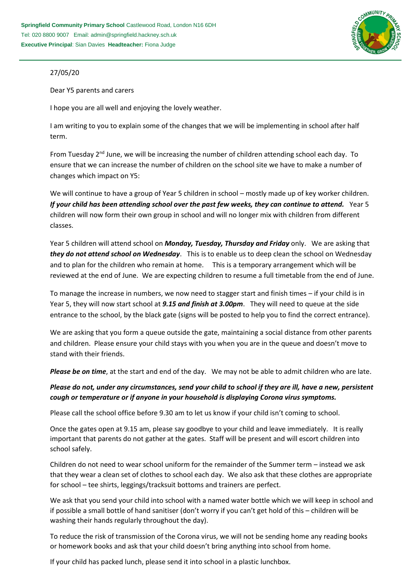

## 27/05/20

Dear Y5 parents and carers

I hope you are all well and enjoying the lovely weather.

I am writing to you to explain some of the changes that we will be implementing in school after half term.

From Tuesday  $2<sup>nd</sup>$  June, we will be increasing the number of children attending school each day. To ensure that we can increase the number of children on the school site we have to make a number of changes which impact on Y5:

We will continue to have a group of Year 5 children in school – mostly made up of key worker children. *If your child has been attending school over the past few weeks, they can continue to attend.* Year 5 children will now form their own group in school and will no longer mix with children from different classes.

Year 5 children will attend school on *Monday, Tuesday, Thursday and Friday* only. We are asking that *they do not attend school on Wednesday*. This is to enable us to deep clean the school on Wednesday and to plan for the children who remain at home. This is a temporary arrangement which will be reviewed at the end of June. We are expecting children to resume a full timetable from the end of June.

To manage the increase in numbers, we now need to stagger start and finish times – if your child is in Year 5, they will now start school at *9.15 and finish at 3.00pm*. They will need to queue at the side entrance to the school, by the black gate (signs will be posted to help you to find the correct entrance).

We are asking that you form a queue outside the gate, maintaining a social distance from other parents and children. Please ensure your child stays with you when you are in the queue and doesn't move to stand with their friends.

*Please be on time*, at the start and end of the day. We may not be able to admit children who are late.

## *Please do not, under any circumstances, send your child to school if they are ill, have a new, persistent cough or temperature or if anyone in your household is displaying Corona virus symptoms.*

Please call the school office before 9.30 am to let us know if your child isn't coming to school.

Once the gates open at 9.15 am, please say goodbye to your child and leave immediately. It is really important that parents do not gather at the gates. Staff will be present and will escort children into school safely.

Children do not need to wear school uniform for the remainder of the Summer term – instead we ask that they wear a clean set of clothes to school each day. We also ask that these clothes are appropriate for school – tee shirts, leggings/tracksuit bottoms and trainers are perfect.

We ask that you send your child into school with a named water bottle which we will keep in school and if possible a small bottle of hand sanitiser (don't worry if you can't get hold of this – children will be washing their hands regularly throughout the day).

To reduce the risk of transmission of the Corona virus, we will not be sending home any reading books or homework books and ask that your child doesn't bring anything into school from home.

If your child has packed lunch, please send it into school in a plastic lunchbox.